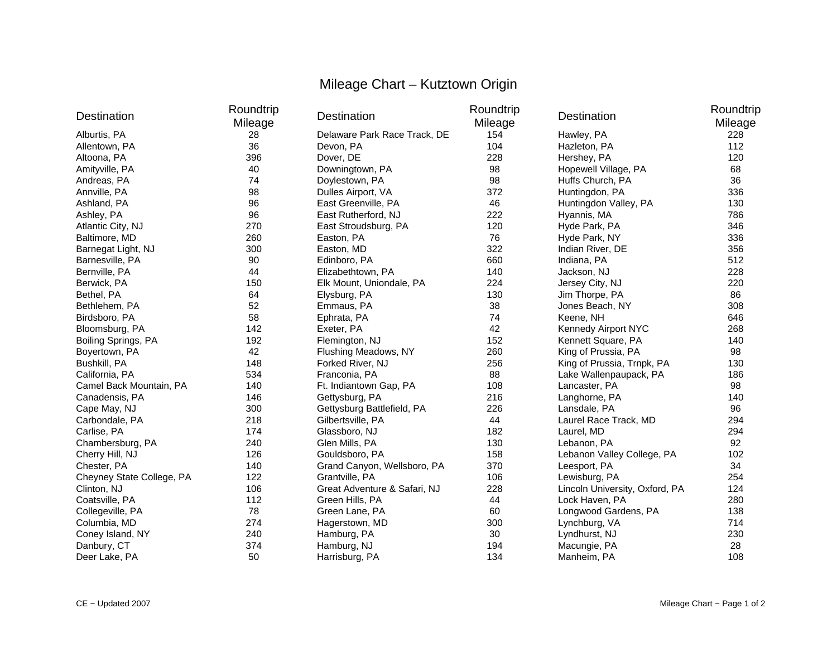## Mileage Chart – Kutztown Origin

| Destination               | Roundtrip<br>Mileage | Destination                  | Roundtrip<br>Mileage | Destination                    | Roundtrip<br>Mileage |
|---------------------------|----------------------|------------------------------|----------------------|--------------------------------|----------------------|
| Alburtis, PA              | 28                   | Delaware Park Race Track, DE | 154                  | Hawley, PA                     | 228                  |
| Allentown, PA             | 36                   | Devon, PA                    | 104                  | Hazleton, PA                   | 112                  |
| Altoona, PA               | 396                  | Dover, DE                    | 228                  | Hershey, PA                    | 120                  |
| Amityville, PA            | 40                   | Downingtown, PA              | 98                   | Hopewell Village, PA           | 68                   |
| Andreas, PA               | 74                   | Doylestown, PA               | 98                   | Huffs Church, PA               | 36                   |
| Annville, PA              | 98                   | Dulles Airport, VA           | 372                  | Huntingdon, PA                 | 336                  |
| Ashland, PA               | 96                   | East Greenville, PA          | 46                   | Huntingdon Valley, PA          | 130                  |
| Ashley, PA                | 96                   | East Rutherford, NJ          | 222                  | Hyannis, MA                    | 786                  |
| Atlantic City, NJ         | 270                  | East Stroudsburg, PA         | 120                  | Hyde Park, PA                  | 346                  |
| Baltimore, MD             | 260                  | Easton, PA                   | 76                   | Hyde Park, NY                  | 336                  |
| Barnegat Light, NJ        | 300                  | Easton, MD                   | 322                  | Indian River, DE               | 356                  |
| Barnesville, PA           | 90                   | Edinboro, PA                 | 660                  | Indiana, PA                    | 512                  |
| Bernville, PA             | 44                   | Elizabethtown, PA            | 140                  | Jackson, NJ                    | 228                  |
| Berwick, PA               | 150                  | Elk Mount, Uniondale, PA     | 224                  | Jersey City, NJ                | 220                  |
| Bethel, PA                | 64                   | Elysburg, PA                 | 130                  | Jim Thorpe, PA                 | 86                   |
| Bethlehem, PA             | 52                   | Emmaus, PA                   | 38                   | Jones Beach, NY                | 308                  |
| Birdsboro, PA             | 58                   | Ephrata, PA                  | 74                   | Keene, NH                      | 646                  |
| Bloomsburg, PA            | 142                  | Exeter, PA                   | 42                   | Kennedy Airport NYC            | 268                  |
| Boiling Springs, PA       | 192                  | Flemington, NJ               | 152                  | Kennett Square, PA             | 140                  |
| Boyertown, PA             | 42                   | Flushing Meadows, NY         | 260                  | King of Prussia, PA            | 98                   |
| Bushkill, PA              | 148                  | Forked River, NJ             | 256                  | King of Prussia, Trnpk, PA     | 130                  |
| California, PA            | 534                  | Franconia, PA                | 88                   | Lake Wallenpaupack, PA         | 186                  |
| Camel Back Mountain, PA   | 140                  | Ft. Indiantown Gap, PA       | 108                  | Lancaster, PA                  | 98                   |
| Canadensis, PA            | 146                  | Gettysburg, PA               | 216                  | Langhorne, PA                  | 140                  |
| Cape May, NJ              | 300                  | Gettysburg Battlefield, PA   | 226                  | Lansdale, PA                   | 96                   |
| Carbondale, PA            | 218                  | Gilbertsville, PA            | 44                   | Laurel Race Track, MD          | 294                  |
| Carlise, PA               | 174                  | Glassboro, NJ                | 182                  | Laurel, MD                     | 294                  |
| Chambersburg, PA          | 240                  | Glen Mills, PA               | 130                  | Lebanon, PA                    | 92                   |
| Cherry Hill, NJ           | 126                  | Gouldsboro, PA               | 158                  | Lebanon Valley College, PA     | 102                  |
| Chester, PA               | 140                  | Grand Canyon, Wellsboro, PA  | 370                  | Leesport, PA                   | 34                   |
| Cheyney State College, PA | 122                  | Grantville, PA               | 106                  | Lewisburg, PA                  | 254                  |
| Clinton, NJ               | 106                  | Great Adventure & Safari, NJ | 228                  | Lincoln University, Oxford, PA | 124                  |
| Coatsville, PA            | 112                  | Green Hills, PA              | 44                   | Lock Haven, PA                 | 280                  |
| Collegeville, PA          | 78                   | Green Lane, PA               | 60                   | Longwood Gardens, PA           | 138                  |
| Columbia, MD              | 274                  | Hagerstown, MD               | 300                  | Lynchburg, VA                  | 714                  |
| Coney Island, NY          | 240                  | Hamburg, PA                  | 30                   | Lyndhurst, NJ                  | 230                  |
| Danbury, CT               | 374                  | Hamburg, NJ                  | 194                  | Macungie, PA                   | 28                   |
| Deer Lake, PA             | 50                   | Harrisburg, PA               | 134                  | Manheim, PA                    | 108                  |